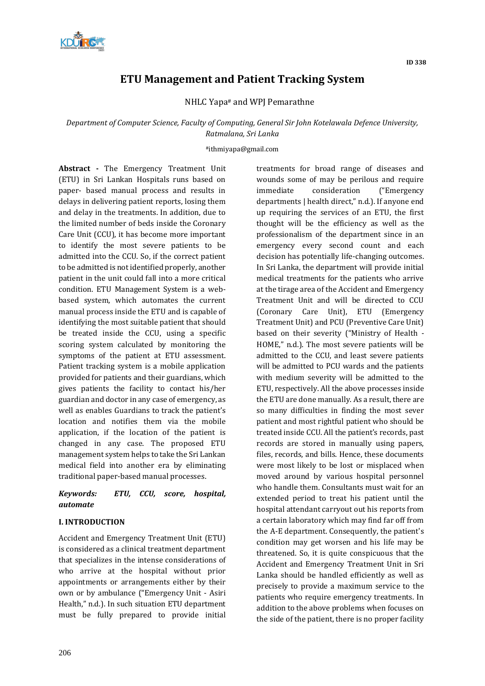

# **ETU Management and Patient Tracking System**

NHLC Yapa# and WPJ Pemarathne

# *Department of Computer Science, Faculty of Computing, General Sir John Kotelawala Defence University, Ratmalana, Sri Lanka*

#### #ithmiyapa@gmail.com

**Abstract -** The Emergency Treatment Unit (ETU) in Sri Lankan Hospitals runs based on paper- based manual process and results in delays in delivering patient reports, losing them and delay in the treatments. In addition, due to the limited number of beds inside the Coronary Care Unit (CCU), it has become more important to identify the most severe patients to be admitted into the CCU. So, if the correct patient to be admitted is not identified properly, another patient in the unit could fall into a more critical condition. ETU Management System is a webbased system, which automates the current manual process inside the ETU and is capable of identifying the most suitable patient that should be treated inside the CCU, using a specific scoring system calculated by monitoring the symptoms of the patient at ETU assessment. Patient tracking system is a mobile application provided for patients and their guardians, which gives patients the facility to contact his/her guardian and doctor in any case of emergency, as well as enables Guardians to track the patient's location and notifies them via the mobile application, if the location of the patient is changed in any case. The proposed ETU management system helps to take the Sri Lankan medical field into another era by eliminating traditional paper-based manual processes.

## *Keywords: ETU, CCU, score, hospital, automate*

## **I. INTRODUCTION**

Accident and Emergency Treatment Unit (ETU) is considered as a clinical treatment department that specializes in the intense considerations of who arrive at the hospital without prior appointments or arrangements either by their own or by ambulance ("Emergency Unit - Asiri Health," n.d.). In such situation ETU department must be fully prepared to provide initial treatments for broad range of diseases and wounds some of may be perilous and require immediate consideration ("Emergency departments | health direct," n.d.). If anyone end up requiring the services of an ETU, the first thought will be the efficiency as well as the professionalism of the department since in an emergency every second count and each decision has potentially life-changing outcomes. In Sri Lanka, the department will provide initial medical treatments for the patients who arrive at the tirage area of the Accident and Emergency Treatment Unit and will be directed to CCU (Coronary Care Unit), ETU (Emergency Treatment Unit) and PCU (Preventive Care Unit) based on their severity ("Ministry of Health - HOME," n.d.). The most severe patients will be admitted to the CCU, and least severe patients will be admitted to PCU wards and the patients with medium severity will be admitted to the ETU, respectively. All the above processes inside the ETU are done manually. As a result, there are so many difficulties in finding the most sever patient and most rightful patient who should be treated inside CCU. All the patient's records, past records are stored in manually using papers, files, records, and bills. Hence, these documents were most likely to be lost or misplaced when moved around by various hospital personnel who handle them. Consultants must wait for an extended period to treat his patient until the hospital attendant carryout out his reports from a certain laboratory which may find far off from the A-E department. Consequently, the patient's condition may get worsen and his life may be threatened. So, it is quite conspicuous that the Accident and Emergency Treatment Unit in Sri Lanka should be handled efficiently as well as precisely to provide a maximum service to the patients who require emergency treatments. In addition to the above problems when focuses on the side of the patient, there is no proper facility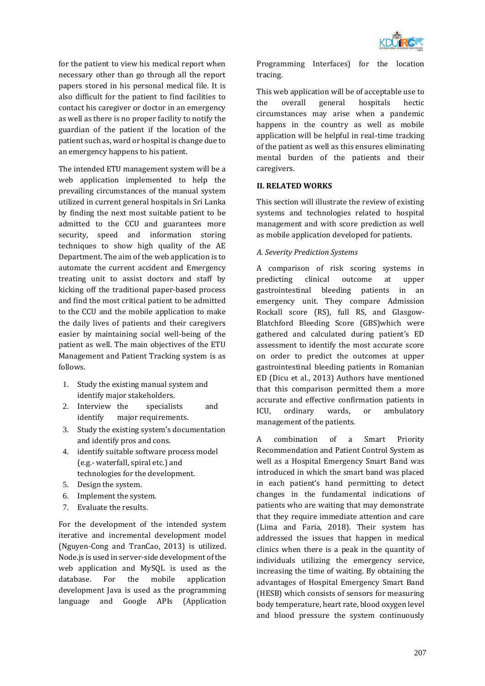

for the patient to view his medical report when necessary other than go through all the report papers stored in his personal medical file. It is also difficult for the patient to find facilities to contact his caregiver or doctor in an emergency as well as there is no proper facility to notify the guardian of the patient if the location of the patient such as, ward or hospital is change due to an emergency happens to his patient.

The intended ETU management system will be a web application implemented to help the prevailing circumstances of the manual system utilized in current general hospitals in Sri Lanka by finding the next most suitable patient to be admitted to the CCU and guarantees more security, speed and information storing techniques to show high quality of the AE Department. The aim of the web application is to automate the current accident and Emergency treating unit to assist doctors and staff by kicking off the traditional paper-based process and find the most critical patient to be admitted to the CCU and the mobile application to make the daily lives of patients and their caregivers easier by maintaining social well-being of the patient as well. The main objectives of the ETU Management and Patient Tracking system is as follows.

- 1. Study the existing manual system and identify major stakeholders.
- 2. Interview the specialists and identify major requirements.
- 3. Study the existing system's documentation and identify pros and cons.
- 4. identify suitable software process model (e.g.- waterfall, spiral etc.) and technologies for the development.
- 5. Design the system.
- 6. Implement the system.
- 7. Evaluate the results.

For the development of the intended system iterative and incremental development model (Nguyen-Cong and TranCao, 2013) is utilized. Node.js is used in server-side development of the web application and MySQL is used as the database. For the mobile application development Java is used as the programming language and Google APIs (Application Programming Interfaces) for the location tracing.

This web application will be of acceptable use to the overall general hospitals hectic circumstances may arise when a pandemic happens in the country as well as mobile application will be helpful in real-time tracking of the patient as well as this ensures eliminating mental burden of the patients and their caregivers.

## **II. RELATED WORKS**

This section will illustrate the review of existing systems and technologies related to hospital management and with score prediction as well as mobile application developed for patients.

## *A. Severity Prediction Systems*

A comparison of risk scoring systems in predicting clinical outcome at upper gastrointestinal bleeding patients in an emergency unit. They compare Admission Rockall score (RS), full RS, and Glasgow-Blatchford Bleeding Score (GBS)which were gathered and calculated during patient's ED assessment to identify the most accurate score on order to predict the outcomes at upper gastrointestinal bleeding patients in Romanian ED (Dicu et al., 2013) Authors have mentioned that this comparison permitted them a more accurate and effective confirmation patients in ICU, ordinary wards, or ambulatory management of the patients.

A combination of a Smart Priority Recommendation and Patient Control System as well as a Hospital Emergency Smart Band was introduced in which the smart band was placed in each patient's hand permitting to detect changes in the fundamental indications of patients who are waiting that may demonstrate that they require immediate attention and care (Lima and Faria, 2018). Their system has addressed the issues that happen in medical clinics when there is a peak in the quantity of individuals utilizing the emergency service, increasing the time of waiting. By obtaining the advantages of Hospital Emergency Smart Band (HESB) which consists of sensors for measuring body temperature, heart rate, blood oxygen level and blood pressure the system continuously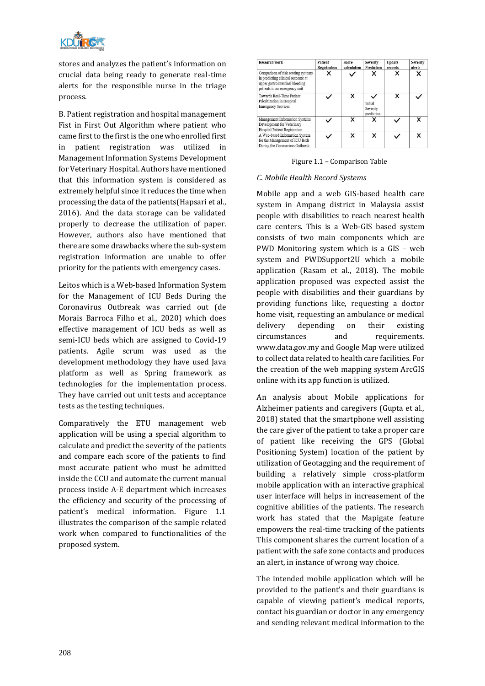

stores and analyzes the patient's information on crucial data being ready to generate real-time alerts for the responsible nurse in the triage process.

B. Patient registration and hospital management Fist in First Out Algorithm where patient who came first to the first is the one who enrolled first in patient registration was utilized in Management Information Systems Development for Veterinary Hospital. Authors have mentioned that this information system is considered as extremely helpful since it reduces the time when processing the data of the patients(Hapsari et al., 2016). And the data storage can be validated properly to decrease the utilization of paper. However, authors also have mentioned that there are some drawbacks where the sub-system registration information are unable to offer priority for the patients with emergency cases.

Leitos which is a Web-based Information System for the Management of ICU Beds During the Coronavirus Outbreak was carried out (de Morais Barroca Filho et al., 2020) which does effective management of ICU beds as well as semi-ICU beds which are assigned to Covid-19 patients. Agile scrum was used as the development methodology they have used Java platform as well as Spring framework as technologies for the implementation process. They have carried out unit tests and acceptance tests as the testing techniques.

Comparatively the ETU management web application will be using a special algorithm to calculate and predict the severity of the patients and compare each score of the patients to find most accurate patient who must be admitted inside the CCU and automate the current manual process inside A-E department which increases the efficiency and security of the processing of patient's medical information. Figure 1.1 illustrates the comparison of the sample related work when compared to functionalities of the proposed system.

| Research work                                                                                                                               | Patient<br>Registration | Score<br>calculation | <b>Severity</b><br>Prediction     | Update<br>records | Severity<br>alerts |
|---------------------------------------------------------------------------------------------------------------------------------------------|-------------------------|----------------------|-----------------------------------|-------------------|--------------------|
| Comparison of risk scoring systems<br>in predicting clinical outcome at<br>upper gastrointestinal bleeding<br>patients in an emergency unit | ×                       |                      |                                   |                   | ×                  |
| Towards Real-Time Patient<br>Prioritization in Hospital<br><b>Emergency Services</b>                                                        |                         | ×                    | Initial<br>Severity<br>prediction |                   |                    |
| Management Information Systems<br>Development for Veterinary<br><b>Hospital Patient Registration</b>                                        |                         | ×                    |                                   |                   | x                  |
| A Web-based Information System<br>for the Management of ICU Beds<br>During the Coronavirus Outbreak                                         |                         | ×                    | x                                 |                   | ×                  |

Figure 1.1 – Comparison Table

## *C. Mobile Health Record Systems*

Mobile app and a web GIS-based health care system in Ampang district in Malaysia assist people with disabilities to reach nearest health care centers. This is a Web-GIS based system consists of two main components which are PWD Monitoring system which is a GIS – web system and PWDSupport2U which a mobile application (Rasam et al., 2018). The mobile application proposed was expected assist the people with disabilities and their guardians by providing functions like, requesting a doctor home visit, requesting an ambulance or medical delivery depending on their existing circumstances and requirements. www.data.gov.my and Google Map were utilized to collect data related to health care facilities. For the creation of the web mapping system ArcGIS online with its app function is utilized.

An analysis about Mobile applications for Alzheimer patients and caregivers (Gupta et al., 2018) stated that the smartphone well assisting the care giver of the patient to take a proper care of patient like receiving the GPS (Global Positioning System) location of the patient by utilization of Geotagging and the requirement of building a relatively simple cross-platform mobile application with an interactive graphical user interface will helps in increasement of the cognitive abilities of the patients. The research work has stated that the Mapigate feature empowers the real-time tracking of the patients This component shares the current location of a patient with the safe zone contacts and produces an alert, in instance of wrong way choice.

The intended mobile application which will be provided to the patient's and their guardians is capable of viewing patient's medical reports, contact his guardian or doctor in any emergency and sending relevant medical information to the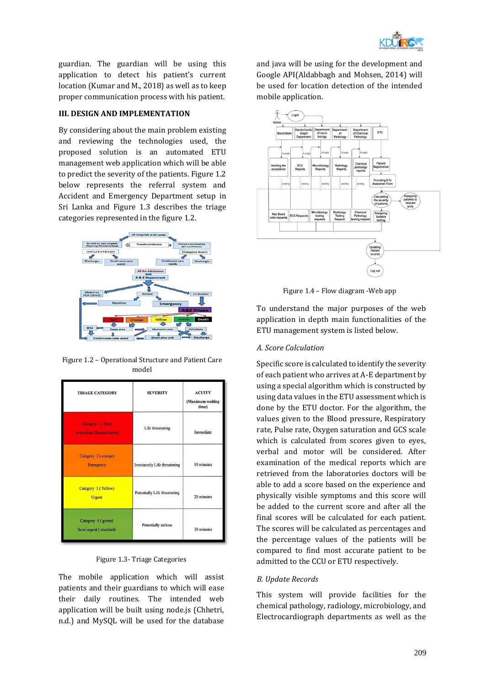

guardian. The guardian will be using this application to detect his patient's current location (Kumar and M., 2018) as well as to keep proper communication process with his patient.

## **III. DESIGN AND IMPLEMENTATION**

By considering about the main problem existing and reviewing the technologies used, the proposed solution is an automated ETU management web application which will be able to predict the severity of the patients. Figure 1.2 below represents the referral system and Accident and Emergency Department setup in Sri Lanka and Figure 1.3 describes the triage categories represented in the figure 1.2.



Figure 1.2 – Operational Structure and Patient Care model

| <b>TRIAGE CATEGORY</b>                               | <b>SEVERITY</b>              | <b>ACUITY</b><br>(Maximum waiting<br>time) |
|------------------------------------------------------|------------------------------|--------------------------------------------|
| Category 1 (Red)<br><b>Immediate (Resuscitation)</b> | Life threatening             | Immediate                                  |
| Category 2 (orange)<br><b>Emergency</b>              | Imminently Life threatening  | 10 minutes                                 |
| Category 3 (Yellow)<br><b>Urgent</b>                 | Potentially Life threatening | 20 minutes                                 |
| Category 4 (green)<br>Semi urgent (standard)         | Potentially serious          | 30 minutes                                 |



The mobile application which will assist patients and their guardians to which will ease their daily routines. The intended web application will be built using node.js (Chhetri, n.d.) and MySQL will be used for the database

and java will be using for the development and Google API(Aldabbagh and Mohsen, 2014) will be used for location detection of the intended mobile application.



Figure 1.4 – Flow diagram -Web app

To understand the major purposes of the web application in depth main functionalities of the ETU management system is listed below.

## *A. Score Calculation*

Specific score is calculated to identify the severity of each patient who arrives at A-E department by using a special algorithm which is constructed by using data values in the ETU assessment which is done by the ETU doctor. For the algorithm, the values given to the Blood pressure, Respiratory rate, Pulse rate, Oxygen saturation and GCS scale which is calculated from scores given to eyes, verbal and motor will be considered. After examination of the medical reports which are retrieved from the laboratories doctors will be able to add a score based on the experience and physically visible symptoms and this score will be added to the current score and after all the final scores will be calculated for each patient. The scores will be calculated as percentages and the percentage values of the patients will be compared to find most accurate patient to be admitted to the CCU or ETU respectively.

## *B. Update Records*

This system will provide facilities for the chemical pathology, radiology, microbiology, and Electrocardiograph departments as well as the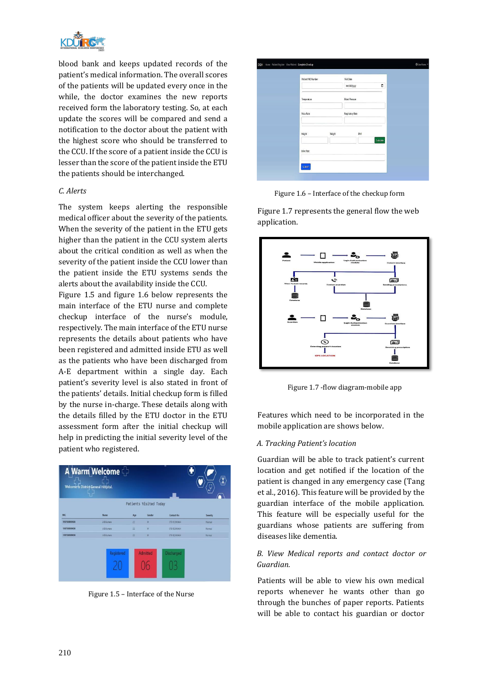

blood bank and keeps updated records of the patient's medical information. The overall scores of the patients will be updated every once in the while, the doctor examines the new reports received form the laboratory testing. So, at each update the scores will be compared and send a notification to the doctor about the patient with the highest score who should be transferred to the CCU. If the score of a patient inside the CCU is lesser than the score of the patient inside the ETU the patients should be interchanged.

## *C. Alerts*

The system keeps alerting the responsible medical officer about the severity of the patients. When the severity of the patient in the ETU gets higher than the patient in the CCU system alerts about the critical condition as well as when the severity of the patient inside the CCU lower than the patient inside the ETU systems sends the alerts about the availability inside the CCU.

Figure 1.5 and figure 1.6 below represents the main interface of the ETU nurse and complete checkup interface of the nurse's module, respectively. The main interface of the ETU nurse represents the details about patients who have been registered and admitted inside ETU as well as the patients who have been discharged from A-E department within a single day. Each patient's severity level is also stated in front of the patients' details. Initial checkup form is filled by the nurse in-charge. These details along with the details filled by the ETU doctor in the ETU assessment form after the initial checkup will help in predicting the initial severity level of the patient who registered.

|              | A Warm Welcome<br>Welcome to District General Hospital. |                 |                        |                   |          |
|--------------|---------------------------------------------------------|-----------------|------------------------|-------------------|----------|
|              |                                                         |                 | Patients Visited Today |                   |          |
| <b>NIC</b>   | Name                                                    | Age             | Gender                 | Contact-No.       | Severity |
| 199798989898 | <b>AB</b> Kumara                                        | $\overline{22}$ | $\mathbf{M}$           | 078-12345464      | Normal   |
| 199798989898 | ABKumara                                                | $\overline{22}$ | $\overline{M}$         | 078-12345464      | Normal   |
| 199798989898 | ABKumara                                                | 22              | M                      | 078-12345454      | Normal   |
|              | <b>Registered</b>                                       |                 | <b>Admitted</b>        | <b>Discharged</b> |          |

Figure 1.5 – Interface of the Nurse

|                   |        | mm/dd/yyyy            | Ö |           |
|-------------------|--------|-----------------------|---|-----------|
| Temperature       |        | <b>Blood Pressure</b> |   |           |
| <b>Puise Rate</b> |        | Respiratory Rate      |   |           |
| Height            | Weight | BMI                   |   |           |
|                   |        |                       |   |           |
|                   |        |                       |   | Calculate |

Figure 1.6 – Interface of the checkup form

Figure 1.7 represents the general flow the web application.



Figure 1.7 -flow diagram-mobile app

Features which need to be incorporated in the mobile application are shows below.

#### *A. Tracking Patient's location*

Guardian will be able to track patient's current location and get notified if the location of the patient is changed in any emergency case (Tang et al., 2016). This feature will be provided by the guardian interface of the mobile application. This feature will be especially useful for the guardians whose patients are suffering from diseases like dementia.

## *B. View Medical reports and contact doctor or Guardian.*

Patients will be able to view his own medical reports whenever he wants other than go through the bunches of paper reports. Patients will be able to contact his guardian or doctor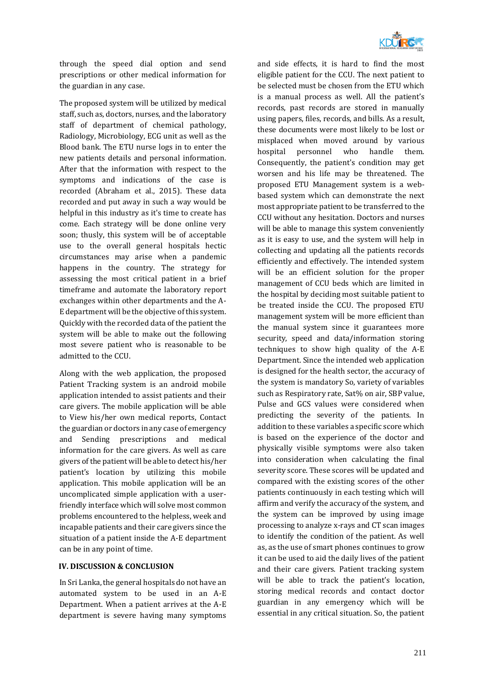

through the speed dial option and send prescriptions or other medical information for the guardian in any case.

The proposed system will be utilized by medical staff, such as, doctors, nurses, and the laboratory staff of department of chemical pathology, Radiology, Microbiology, ECG unit as well as the Blood bank. The ETU nurse logs in to enter the new patients details and personal information. After that the information with respect to the symptoms and indications of the case is recorded (Abraham et al., 2015). These data recorded and put away in such a way would be helpful in this industry as it's time to create has come. Each strategy will be done online very soon; thusly, this system will be of acceptable use to the overall general hospitals hectic circumstances may arise when a pandemic happens in the country. The strategy for assessing the most critical patient in a brief timeframe and automate the laboratory report exchanges within other departments and the A-E department will be the objective of this system. Quickly with the recorded data of the patient the system will be able to make out the following most severe patient who is reasonable to be admitted to the CCU.

Along with the web application, the proposed Patient Tracking system is an android mobile application intended to assist patients and their care givers. The mobile application will be able to View his/her own medical reports, Contact the guardian or doctors in any case of emergency and Sending prescriptions and medical information for the care givers. As well as care givers of the patient will be able to detect his/her patient's location by utilizing this mobile application. This mobile application will be an uncomplicated simple application with a userfriendly interface which will solve most common problems encountered to the helpless, week and incapable patients and their care givers since the situation of a patient inside the A-E department can be in any point of time.

## **IV. DISCUSSION & CONCLUSION**

In Sri Lanka, the general hospitals do not have an automated system to be used in an A-E Department. When a patient arrives at the A-E department is severe having many symptoms and side effects, it is hard to find the most eligible patient for the CCU. The next patient to be selected must be chosen from the ETU which is a manual process as well. All the patient's records, past records are stored in manually using papers, files, records, and bills. As a result, these documents were most likely to be lost or misplaced when moved around by various hospital personnel who handle them. Consequently, the patient's condition may get worsen and his life may be threatened. The proposed ETU Management system is a webbased system which can demonstrate the next most appropriate patient to be transferred to the CCU without any hesitation. Doctors and nurses will be able to manage this system conveniently as it is easy to use, and the system will help in collecting and updating all the patients records efficiently and effectively. The intended system will be an efficient solution for the proper management of CCU beds which are limited in the hospital by deciding most suitable patient to be treated inside the CCU. The proposed ETU management system will be more efficient than the manual system since it guarantees more security, speed and data/information storing techniques to show high quality of the A-E Department. Since the intended web application is designed for the health sector, the accuracy of the system is mandatory So, variety of variables such as Respiratory rate, Sat% on air, SBP value, Pulse and GCS values were considered when predicting the severity of the patients. In addition to these variables a specific score which is based on the experience of the doctor and physically visible symptoms were also taken into consideration when calculating the final severity score. These scores will be updated and compared with the existing scores of the other patients continuously in each testing which will affirm and verify the accuracy of the system, and the system can be improved by using image processing to analyze x-rays and CT scan images to identify the condition of the patient. As well as, as the use of smart phones continues to grow it can be used to aid the daily lives of the patient and their care givers. Patient tracking system will be able to track the patient's location, storing medical records and contact doctor guardian in any emergency which will be essential in any critical situation. So, the patient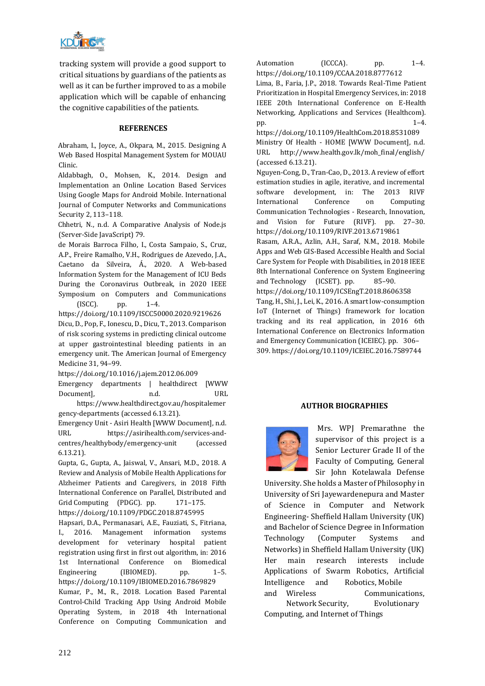

tracking system will provide a good support to critical situations by guardians of the patients as well as it can be further improved to as a mobile application which will be capable of enhancing the cognitive capabilities of the patients.

#### **REFERENCES**

Abraham, I., Joyce, A., Okpara, M., 2015. Designing A Web Based Hospital Management System for MOUAU Clinic.

Aldabbagh, O., Mohsen, K., 2014. Design and Implementation an Online Location Based Services Using Google Maps for Android Mobile. International Journal of Computer Networks and Communications Security 2, 113–118.

Chhetri, N., n.d. A Comparative Analysis of Node.js (Server-Side JavaScript) 79.

de Morais Barroca Filho, I., Costa Sampaio, S., Cruz, A.P., Freire Ramalho, V.H., Rodrigues de Azevedo, J.A., Caetano da Silveira, Á., 2020. A Web-based Information System for the Management of ICU Beds During the Coronavirus Outbreak, in 2020 IEEE Symposium on Computers and Communications  $(ISCC)$ . pp.  $1-4$ .

https://doi.org/10.1109/ISCC50000.2020.9219626 Dicu, D., Pop, F., Ionescu, D., Dicu, T., 2013. Comparison of risk scoring systems in predicting clinical outcome at upper gastrointestinal bleeding patients in an emergency unit. The American Journal of Emergency Medicine 31, 94–99.

https://doi.org/10.1016/j.ajem.2012.06.009

Emergency departments | healthdirect [WWW Document], h.d. Document], the media of the URL state of the URL state of the URL state of the URL state of the URL state of the URL state of the URL state of the URL state of the URL state of the URL state of the URL stat

https://www.healthdirect.gov.au/hospitalemer gency-departments (accessed 6.13.21).

Emergency Unit - Asiri Health [WWW Document], n.d. URL https://asirihealth.com/services-andcentres/healthybody/emergency-unit (accessed 6.13.21).

Gupta, G., Gupta, A., Jaiswal, V., Ansari, M.D., 2018. A Review and Analysis of Mobile Health Applications for Alzheimer Patients and Caregivers, in 2018 Fifth International Conference on Parallel, Distributed and Grid Computing (PDGC). pp. 171-175.

https://doi.org/10.1109/PDGC.2018.8745995

Hapsari, D.A., Permanasari, A.E., Fauziati, S., Fitriana, I., 2016. Management information systems development for veterinary hospital patient registration using first in first out algorithm, in: 2016 1st International Conference on Biomedical Engineering (IBIOMED). pp. 1-5. https://doi.org/10.1109/IBIOMED.2016.7869829 Kumar, P., M., R., 2018. Location Based Parental Control-Child Tracking App Using Android Mobile Operating System, in 2018 4th International Conference on Computing Communication and Automation (ICCCA). pp. 1-4. https://doi.org/10.1109/CCAA.2018.8777612

Lima, B., Faria, J.P., 2018. Towards Real-Time Patient Prioritization in Hospital Emergency Services, in: 2018 IEEE 20th International Conference on E-Health Networking, Applications and Services (Healthcom). pp. 1–4.

https://doi.org/10.1109/HealthCom.2018.8531089 Ministry Of Health - HOME [WWW Document], n.d. URL http://www.health.gov.lk/moh\_final/english/ (accessed 6.13.21).

Nguyen-Cong, D., Tran-Cao, D., 2013. A review of effort estimation studies in agile, iterative, and incremental software development, in: The 2013 RIVF International Conference on Computing Communication Technologies - Research, Innovation, and Vision for Future (RIVF). pp. 27–30. https://doi.org/10.1109/RIVF.2013.6719861

Rasam, A.R.A., Azlin, A.H., Saraf, N.M., 2018. Mobile Apps and Web GIS-Based Accessible Health and Social Care System for People with Disabilities, in 2018 IEEE 8th International Conference on System Engineering and Technology (ICSET). pp. 85–90.

https://doi.org/10.1109/ICSEngT.2018.8606358 Tang, H., Shi, J., Lei, K., 2016. A smart low-consumption IoT (Internet of Things) framework for location tracking and its real application, in 2016 6th International Conference on Electronics Information and Emergency Communication (ICEIEC). pp. 306– 309. https://doi.org/10.1109/ICEIEC.2016.7589744

#### **AUTHOR BIOGRAPHIES**



Mrs. WPJ Premarathne the supervisor of this project is a Senior Lecturer Grade II of the Faculty of Computing, General Sir John Kotelawala Defense

University. She holds a Master of Philosophy in University of Sri Jayewardenepura and Master of Science in Computer and Network Engineering- Sheffield Hallam University (UK) and Bachelor of Science Degree in Information Technology (Computer Systems and Networks) in Sheffield Hallam University (UK) Her main research interests include Applications of Swarm Robotics, Artificial Intelligence and Robotics, Mobile and Wireless **Communications**,

Network Security, Evolutionary Computing, and Internet of Things